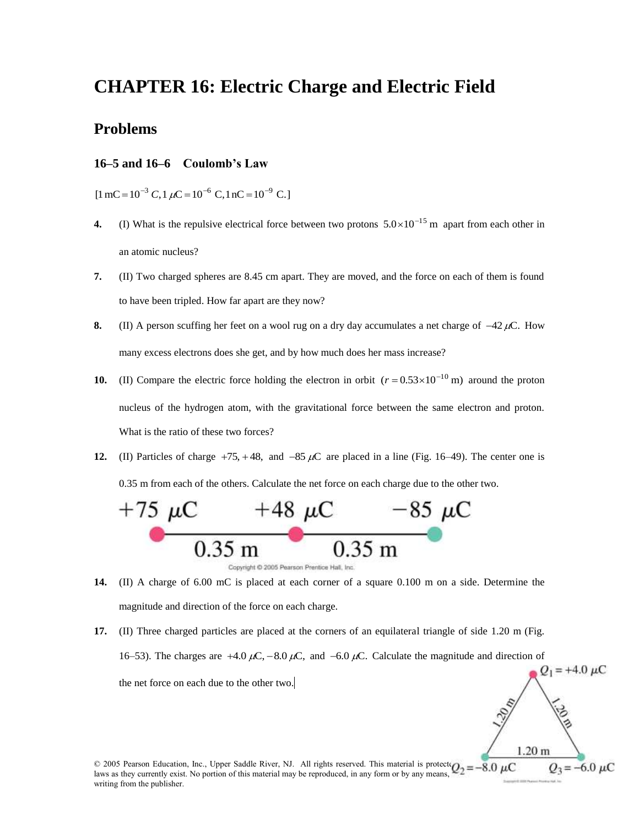## **CHAPTER 16: Electric Charge and Electric Field**

## **Problems**

## **16–5 and 16–6 Coulomb's Law**

 $[1 \text{ mC} = 10^{-3} \text{ C}, 1 \mu\text{C} = 10^{-6} \text{ C}, 1 \text{ nC} = 10^{-9} \text{ C}.]$ 

- **4.** (I) What is the repulsive electrical force between two protons  $5.0 \times 10^{-15}$  m apart from each other in an atomic nucleus?
- **7.** (II) Two charged spheres are 8.45 cm apart. They are moved, and the force on each of them is found to have been tripled. How far apart are they now?
- **8.** (II) A person scuffing her feet on a wool rug on a dry day accumulates a net charge of  $-42 \mu C$ . How many excess electrons does she get, and by how much does her mass increase?
- **10.** (II) Compare the electric force holding the electron in orbit  $(r = 0.53 \times 10^{-10} \text{ m})$  around the proton nucleus of the hydrogen atom, with the gravitational force between the same electron and proton. What is the ratio of these two forces?
- **12.** (II) Particles of charge  $+75$ ,  $+48$ , and  $-85 \mu C$  are placed in a line (Fig. 16–49). The center one is 0.35 m from each of the others. Calculate the net force on each charge due to the other two.



**14.** (II) A charge of 6.00 mC is placed at each corner of a square 0.100 m on a side. Determine the magnitude and direction of the force on each charge.

**17.** (II) Three charged particles are placed at the corners of an equilateral triangle of side 1.20 m (Fig. 16–53). The charges are  $+4.0 \mu C$ ,  $-8.0 \mu C$ , and  $-6.0 \mu C$ . Calculate the magnitude and direction of  $Q_1 = +4.0 \mu C$ the net force on each due to the other two.

 $1.20<sub>m</sub>$  $-6.0 \mu C$ 

© 2005 Pearson Education, Inc., Upper Saddle River, NJ. All rights reserved. This material is protecte $Q_2 = -8.0 \mu C$ laws as they currently exist. No portion of this material may be reproduced, in any form or by any means, writing from the publisher.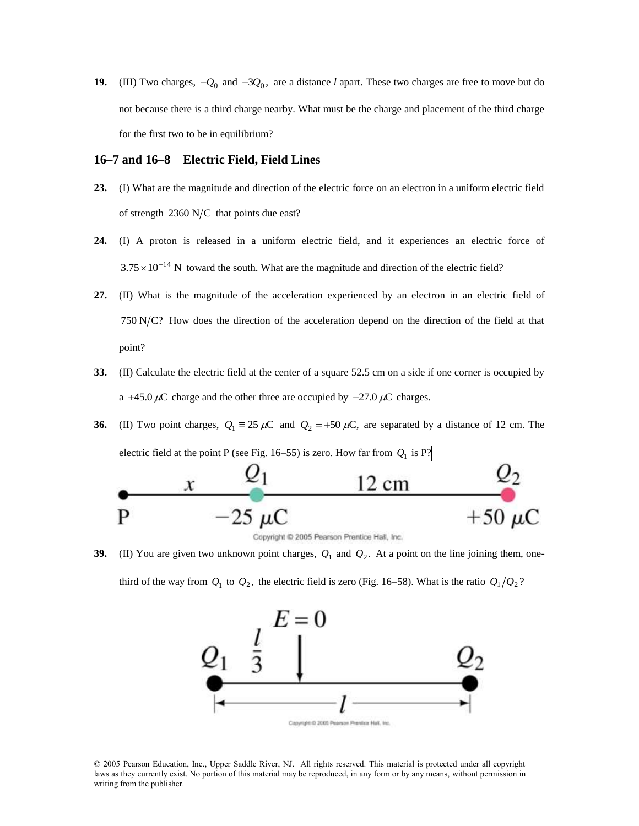**19.** (III) Two charges,  $-Q_0$  and  $-3Q_0$ , are a distance *l* apart. These two charges are free to move but do not because there is a third charge nearby. What must be the charge and placement of the third charge for the first two to be in equilibrium?

## **16–7 and 16–8 Electric Field, Field Lines**

- **23.** (I) What are the magnitude and direction of the electric force on an electron in a uniform electric field of strength  $2360$  N/C that points due east?
- **24.** (I) A proton is released in a uniform electric field, and it experiences an electric force of  $3.75 \times 10^{-14}$  N toward the south. What are the magnitude and direction of the electric field?
- **27.** (II) What is the magnitude of the acceleration experienced by an electron in an electric field of  $750$  N/C? How does the direction of the acceleration depend on the direction of the field at that point?
- **33.** (II) Calculate the electric field at the center of a square 52.5 cm on a side if one corner is occupied by a +45.0  $\mu$ C charge and the other three are occupied by  $-27.0 \mu$ C charges.
- **36.** (II) Two point charges,  $Q_1 \equiv 25 \mu C$  and  $Q_2 = +50 \mu C$ , are separated by a distance of 12 cm. The electric field at the point P (see Fig.  $16-55$ ) is zero. How far from  $Q_1$  is P?



**39.** (II) You are given two unknown point charges,  $Q_1$  and  $Q_2$ . At a point on the line joining them, onethird of the way from  $Q_1$  to  $Q_2$ , the electric field is zero (Fig. 16–58). What is the ratio  $Q_1/Q_2$ ?



© 2005 Pearson Education, Inc., Upper Saddle River, NJ. All rights reserved. This material is protected under all copyright laws as they currently exist. No portion of this material may be reproduced, in any form or by any means, without permission in writing from the publisher.